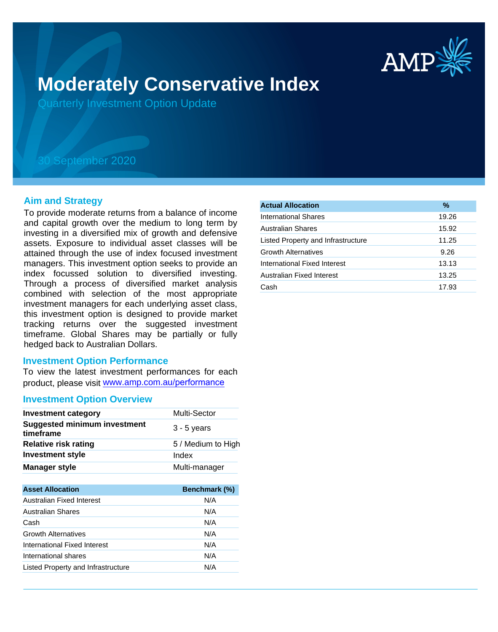

# **Moderately Conservative Index**

Quarterly Investment Option Update

## 30 September 2020

#### **Aim and Strategy**

To provide moderate returns from a balance of income and capital growth over the medium to long term by investing in a diversified mix of growth and defensive assets. Exposure to individual asset classes will be attained through the use of index focused investment managers. This investment option seeks to provide an index focussed solution to diversified investing. Through a process of diversified market analysis combined with selection of the most appropriate investment managers for each underlying asset class, this investment option is designed to provide market tracking returns over the suggested investment timeframe. Global Shares may be partially or fully hedged back to Australian Dollars.

#### **Investment Option Performance**

To view the latest investment performances for each product, please visit www.amp.com.au/performance

#### **Investment Option Overview**

| <b>Investment category</b>                       | Multi-Sector       |
|--------------------------------------------------|--------------------|
| <b>Suggested minimum investment</b><br>timeframe | $3 - 5$ years      |
| <b>Relative risk rating</b>                      | 5 / Medium to High |
| <b>Investment style</b>                          | Index              |
| <b>Manager style</b>                             | Multi-manager      |

| <b>Asset Allocation</b>            | Benchmark (%) |
|------------------------------------|---------------|
| Australian Fixed Interest          | N/A           |
| <b>Australian Shares</b>           | N/A           |
| Cash                               | N/A           |
| <b>Growth Alternatives</b>         | N/A           |
| International Fixed Interest       | N/A           |
| International shares               | N/A           |
| Listed Property and Infrastructure | N/A           |

| <b>Actual Allocation</b>           | $\frac{9}{6}$ |
|------------------------------------|---------------|
| International Shares               | 19.26         |
| <b>Australian Shares</b>           | 15.92         |
| Listed Property and Infrastructure | 11.25         |
| <b>Growth Alternatives</b>         | 9.26          |
| International Fixed Interest       | 13.13         |
| Australian Fixed Interest          | 13.25         |
| Cash                               | 17.93         |
|                                    |               |